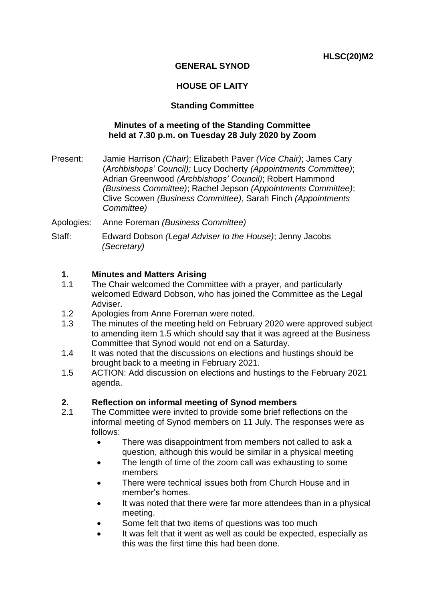### **GENERAL SYNOD**

## **HOUSE OF LAITY**

### **Standing Committee**

#### **Minutes of a meeting of the Standing Committee held at 7.30 p.m. on Tuesday 28 July 2020 by Zoom**

- Present: Jamie Harrison *(Chair)*; Elizabeth Paver *(Vice Chair)*; James Cary (*Archbishops' Council);* Lucy Docherty *(Appointments Committee)*; Adrian Greenwood *(Archbishops' Council)*; Robert Hammond *(Business Committee)*; Rachel Jepson *(Appointments Committee)*; Clive Scowen *(Business Committee),* Sarah Finch *(Appointments Committee)*
- Apologies: Anne Foreman *(Business Committee)*
- Staff: Edward Dobson *(Legal Adviser to the House)*; Jenny Jacobs *(Secretary)*

### **1. Minutes and Matters Arising**

- 1.1 The Chair welcomed the Committee with a prayer, and particularly welcomed Edward Dobson, who has joined the Committee as the Legal Adviser.
- 1.2 Apologies from Anne Foreman were noted.
- 1.3 The minutes of the meeting held on February 2020 were approved subject to amending item 1.5 which should say that it was agreed at the Business Committee that Synod would not end on a Saturday.
- 1.4 It was noted that the discussions on elections and hustings should be brought back to a meeting in February 2021.
- 1.5 ACTION: Add discussion on elections and hustings to the February 2021 agenda.

#### **2. Reflection on informal meeting of Synod members**

- 2.1 The Committee were invited to provide some brief reflections on the informal meeting of Synod members on 11 July. The responses were as follows:
	- There was disappointment from members not called to ask a question, although this would be similar in a physical meeting
	- The length of time of the zoom call was exhausting to some members
	- There were technical issues both from Church House and in member's homes.
	- It was noted that there were far more attendees than in a physical meeting.
	- Some felt that two items of questions was too much
	- It was felt that it went as well as could be expected, especially as this was the first time this had been done.